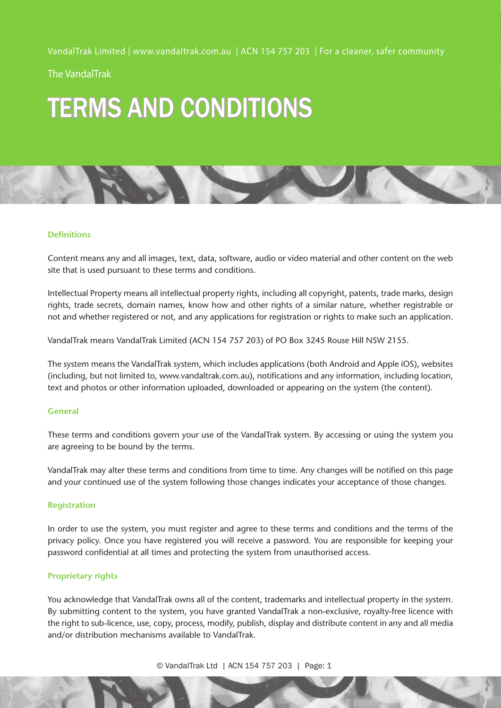The VandalTrak

# TERMS AND CONDITIONS



#### **Definitions**

Content means any and all images, text, data, software, audio or video material and other content on the web site that is used pursuant to these terms and conditions.

Intellectual Property means all intellectual property rights, including all copyright, patents, trade marks, design rights, trade secrets, domain names, know how and other rights of a similar nature, whether registrable or not and whether registered or not, and any applications for registration or rights to make such an application.

VandalTrak means VandalTrak Limited (ACN 154 757 203) of PO Box 3245 Rouse Hill NSW 2155.

The system means the VandalTrak system, which includes applications (both Android and Apple iOS), websites (including, but not limited to, www.vandaltrak.com.au), notifications and any information, including location, text and photos or other information uploaded, downloaded or appearing on the system (the content).

### **General**

These terms and conditions govern your use of the VandalTrak system. By accessing or using the system you are agreeing to be bound by the terms.

VandalTrak may alter these terms and conditions from time to time. Any changes will be notified on this page and your continued use of the system following those changes indicates your acceptance of those changes.

#### **Registration**

In order to use the system, you must register and agree to these terms and conditions and the terms of the privacy policy. Once you have registered you will receive a password. You are responsible for keeping your password confidential at all times and protecting the system from unauthorised access.

## **Proprietary rights**

You acknowledge that VandalTrak owns all of the content, trademarks and intellectual property in the system. By submitting content to the system, you have granted VandalTrak a non-exclusive, royalty-free licence with the right to sub-licence, use, copy, process, modify, publish, display and distribute content in any and all media and/or distribution mechanisms available to VandalTrak.

© VandalTrak Ltd | ACN 154 757 203 | Page: 1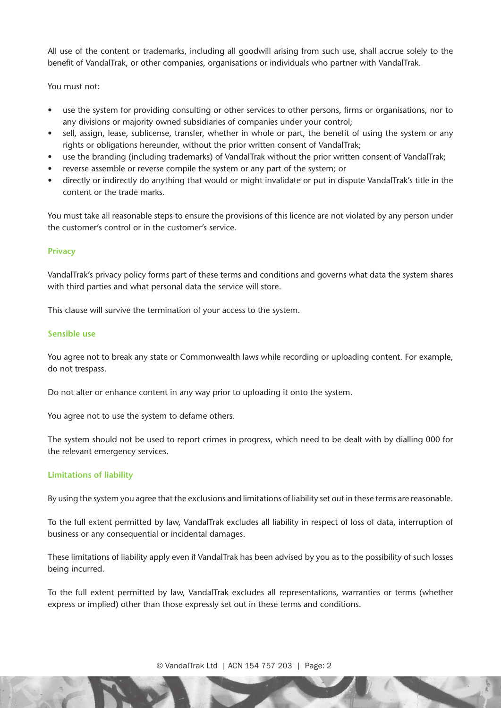All use of the content or trademarks, including all goodwill arising from such use, shall accrue solely to the benefit of VandalTrak, or other companies, organisations or individuals who partner with VandalTrak.

You must not:

- use the system for providing consulting or other services to other persons, firms or organisations, nor to any divisions or majority owned subsidiaries of companies under your control;
- sell, assign, lease, sublicense, transfer, whether in whole or part, the benefit of using the system or any rights or obligations hereunder, without the prior written consent of VandalTrak;
- use the branding (including trademarks) of VandalTrak without the prior written consent of VandalTrak;
- reverse assemble or reverse compile the system or any part of the system; or
- • directly or indirectly do anything that would or might invalidate or put in dispute VandalTrak's title in the content or the trade marks.

You must take all reasonable steps to ensure the provisions of this licence are not violated by any person under the customer's control or in the customer's service.

## **Privacy**

VandalTrak's privacy policy forms part of these terms and conditions and governs what data the system shares with third parties and what personal data the service will store.

This clause will survive the termination of your access to the system.

#### **Sensible use**

You agree not to break any state or Commonwealth laws while recording or uploading content. For example, do not trespass.

Do not alter or enhance content in any way prior to uploading it onto the system.

You agree not to use the system to defame others.

The system should not be used to report crimes in progress, which need to be dealt with by dialling 000 for the relevant emergency services.

## **Limitations of liability**

By using the system you agree that the exclusions and limitations of liability set out in these terms are reasonable.

To the full extent permitted by law, VandalTrak excludes all liability in respect of loss of data, interruption of business or any consequential or incidental damages.

These limitations of liability apply even if VandalTrak has been advised by you as to the possibility of such losses being incurred.

To the full extent permitted by law, VandalTrak excludes all representations, warranties or terms (whether express or implied) other than those expressly set out in these terms and conditions.

© VandalTrak Ltd | ACN 154 757 203 | Page: 2